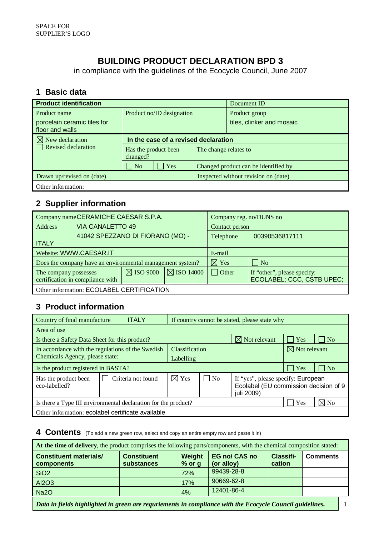## **BUILDING PRODUCT DECLARATION BPD 3**

in compliance with the guidelines of the Ecocycle Council, June 2007

#### **1 Basic data**

| <b>Product identification</b>                                  |                                                           |  | Document ID                                |  |  |
|----------------------------------------------------------------|-----------------------------------------------------------|--|--------------------------------------------|--|--|
| Product name<br>porcelain ceramic tiles for<br>floor and walls | Product no/ID designation                                 |  | Product group<br>tiles, clinker and mosaic |  |  |
| $\boxtimes$ New declaration                                    | In the case of a revised declaration                      |  |                                            |  |  |
| Revised declaration                                            | Has the product been<br>The change relates to<br>changed? |  |                                            |  |  |
|                                                                | $\Box$ No<br><b>Yes</b>                                   |  | Changed product can be identified by       |  |  |
| Drawn up/revised on (date)                                     |                                                           |  | Inspected without revision on (date)       |  |  |
| Other information:                                             |                                                           |  |                                            |  |  |

## **2 Supplier information**

| Company name CERAMICHE CAESAR S.P.A.                      |                                  |                                  | Company reg. no/DUNS no |                 |                                                          |  |
|-----------------------------------------------------------|----------------------------------|----------------------------------|-------------------------|-----------------|----------------------------------------------------------|--|
| <b>Address</b>                                            | VIA CANALETTO 49                 |                                  |                         | Contact person  |                                                          |  |
|                                                           |                                  | 41042 SPEZZANO DI FIORANO (MO) - |                         | Telephone       | 00390536817111                                           |  |
| <b>ITALY</b>                                              |                                  |                                  |                         |                 |                                                          |  |
| Website: WWW.CAESAR.IT                                    |                                  |                                  | E-mail                  |                 |                                                          |  |
| Does the company have an environmental management system? |                                  |                                  |                         | $\boxtimes$ Yes | $\Box$ No                                                |  |
| The company possesses                                     | certification in compliance with | $\boxtimes$ ISO 9000             | $\boxtimes$ ISO 14000   | $\vert$ Other   | If "other", please specify:<br>ECOLABEL; CCC, CSTB UPEC; |  |
| Other information: ECOLABEL CERTIFICATION                 |                                  |                                  |                         |                 |                                                          |  |

#### **3 Product information**

| <b>ITALY</b><br>Country of final manufacture<br>If country cannot be stated, please state why |                       |                             |                                                                                           |                          |                     |  |
|-----------------------------------------------------------------------------------------------|-----------------------|-----------------------------|-------------------------------------------------------------------------------------------|--------------------------|---------------------|--|
| Area of use                                                                                   |                       |                             |                                                                                           |                          |                     |  |
| $\boxtimes$ Not relevant<br>Yes<br>Is there a Safety Data Sheet for this product?             |                       |                             |                                                                                           |                          | N <sub>o</sub>      |  |
| In accordance with the regulations of the Swedish                                             | <b>Classification</b> |                             |                                                                                           | $\boxtimes$ Not relevant |                     |  |
| Chemicals Agency, please state:                                                               | Labelling             |                             |                                                                                           |                          |                     |  |
| Is the product registered in BASTA?                                                           |                       |                             |                                                                                           | Yes                      | $\overline{\rm No}$ |  |
| Criteria not found<br>Has the product been<br>eco-labelled?                                   | $\boxtimes$ Yes       | $\overline{\phantom{a}}$ No | If "yes", please specify: European<br>Ecolabel (EU commission decision of 9<br>juli 2009) |                          |                     |  |
| $\boxtimes$ No<br>Yes<br>Is there a Type III environmental declaration for the product?       |                       |                             |                                                                                           |                          |                     |  |
| Other information: ecolabel certificate available                                             |                       |                             |                                                                                           |                          |                     |  |

#### **4 Contents** (To add a new green row, select and copy an entire empty row and paste it in)

| At the time of delivery, the product comprises the following parts/components, with the chemical composition stated: |                                  |                    |                                    |                     |                 |  |  |
|----------------------------------------------------------------------------------------------------------------------|----------------------------------|--------------------|------------------------------------|---------------------|-----------------|--|--|
| <b>Constituent materials/</b><br>components                                                                          | <b>Constituent</b><br>substances | Weight<br>$%$ or g | <b>EG no/ CAS no</b><br>(or alloy) | Classifi-<br>cation | <b>Comments</b> |  |  |
| SiO <sub>2</sub>                                                                                                     |                                  | 72%                | 99439-28-8                         |                     |                 |  |  |
| AI2O3                                                                                                                |                                  | 17%                | 90669-62-8                         |                     |                 |  |  |
| Na <sub>20</sub>                                                                                                     |                                  | 4%                 | 12401-86-4                         |                     |                 |  |  |
| Data in fields highlighted in green are requriements in compliance with the Ecocycle Council guidelines.             |                                  |                    |                                    |                     |                 |  |  |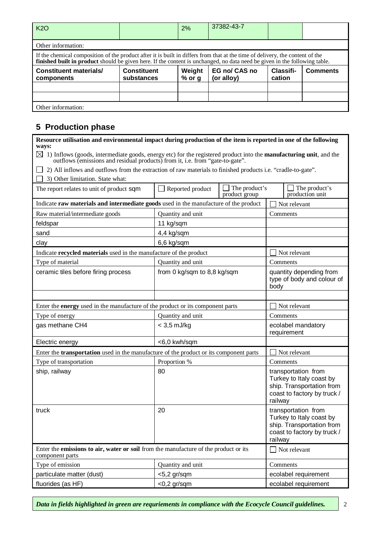| K <sub>2</sub> O                                                                                                                                                                                                                                            |                                  | 2%                 | 37382-43-7                  |                     |                 |  |  |
|-------------------------------------------------------------------------------------------------------------------------------------------------------------------------------------------------------------------------------------------------------------|----------------------------------|--------------------|-----------------------------|---------------------|-----------------|--|--|
| Other information:                                                                                                                                                                                                                                          |                                  |                    |                             |                     |                 |  |  |
| If the chemical composition of the product after it is built in differs from that at the time of delivery, the content of the<br>finished built in product should be given here. If the content is unchanged, no data need be given in the following table. |                                  |                    |                             |                     |                 |  |  |
| <b>Constituent materials/</b><br>components                                                                                                                                                                                                                 | <b>Constituent</b><br>substances | Weight<br>$%$ or g | EG no/ CAS no<br>(or alloy) | Classifi-<br>cation | <b>Comments</b> |  |  |
|                                                                                                                                                                                                                                                             |                                  |                    |                             |                     |                 |  |  |
|                                                                                                                                                                                                                                                             |                                  |                    |                             |                     |                 |  |  |
| Other information:                                                                                                                                                                                                                                          |                                  |                    |                             |                     |                 |  |  |

## **5 Production phase**

| Resource utilisation and environmental impact during production of the item is reported in one of the following<br>ways:                                                                                                   |                             |                                                                                                                        |                                                                                                                        |  |  |
|----------------------------------------------------------------------------------------------------------------------------------------------------------------------------------------------------------------------------|-----------------------------|------------------------------------------------------------------------------------------------------------------------|------------------------------------------------------------------------------------------------------------------------|--|--|
| $\boxtimes$<br>1) Inflows (goods, intermediate goods, energy etc) for the registered product into the <b>manufacturing unit</b> , and the<br>outflows (emissions and residual products) from it, i.e. from "gate-to-gate". |                             |                                                                                                                        |                                                                                                                        |  |  |
| 2) All inflows and outflows from the extraction of raw materials to finished products i.e. "cradle-to-gate".                                                                                                               |                             |                                                                                                                        |                                                                                                                        |  |  |
| 3) Other limitation. State what:                                                                                                                                                                                           |                             |                                                                                                                        |                                                                                                                        |  |  |
| The report relates to unit of product sqm                                                                                                                                                                                  | Reported product            | The product's<br>product group                                                                                         | $\Box$ The product's<br>production unit                                                                                |  |  |
| Indicate raw materials and intermediate goods used in the manufacture of the product                                                                                                                                       |                             |                                                                                                                        | Not relevant                                                                                                           |  |  |
| Raw material/intermediate goods                                                                                                                                                                                            | Quantity and unit           |                                                                                                                        | Comments                                                                                                               |  |  |
| feldspar                                                                                                                                                                                                                   | 11 kg/sqm                   |                                                                                                                        |                                                                                                                        |  |  |
| sand                                                                                                                                                                                                                       | 4,4 kg/sqm                  |                                                                                                                        |                                                                                                                        |  |  |
| clay                                                                                                                                                                                                                       | 6,6 kg/sqm                  |                                                                                                                        |                                                                                                                        |  |  |
| Indicate recycled materials used in the manufacture of the product                                                                                                                                                         |                             |                                                                                                                        | Not relevant                                                                                                           |  |  |
| Type of material                                                                                                                                                                                                           | Quantity and unit           |                                                                                                                        | Comments                                                                                                               |  |  |
| ceramic tiles before firing process                                                                                                                                                                                        | from 0 kg/sqm to 8,8 kg/sqm | quantity depending from<br>type of body and colour of<br>body                                                          |                                                                                                                        |  |  |
|                                                                                                                                                                                                                            |                             |                                                                                                                        |                                                                                                                        |  |  |
| Enter the <b>energy</b> used in the manufacture of the product or its component parts                                                                                                                                      |                             |                                                                                                                        | Not relevant                                                                                                           |  |  |
| Type of energy                                                                                                                                                                                                             | Quantity and unit           |                                                                                                                        | Comments                                                                                                               |  |  |
| gas methane CH4                                                                                                                                                                                                            | $<$ 3,5 mJ/kg               |                                                                                                                        | ecolabel mandatory<br>requirement                                                                                      |  |  |
| Electric energy                                                                                                                                                                                                            | <6,0 kwh/sqm                |                                                                                                                        |                                                                                                                        |  |  |
| Enter the <b>transportation</b> used in the manufacture of the product or its component parts                                                                                                                              |                             |                                                                                                                        | Not relevant                                                                                                           |  |  |
| Type of transportation                                                                                                                                                                                                     | Proportion %                |                                                                                                                        | Comments                                                                                                               |  |  |
| ship, railway                                                                                                                                                                                                              | 80                          |                                                                                                                        | transportation from<br>Turkey to Italy coast by<br>ship. Transportation from<br>coast to factory by truck /<br>railway |  |  |
| truck                                                                                                                                                                                                                      | 20                          | transportation from<br>Turkey to Italy coast by<br>ship. Transportation from<br>coast to factory by truck /<br>railway |                                                                                                                        |  |  |
| Enter the emissions to air, water or soil from the manufacture of the product or its<br>component parts                                                                                                                    |                             |                                                                                                                        | Not relevant                                                                                                           |  |  |
| Type of emission                                                                                                                                                                                                           | Quantity and unit           |                                                                                                                        | Comments                                                                                                               |  |  |
| particulate matter (dust)                                                                                                                                                                                                  | $<$ 5,2 gr/sqm              |                                                                                                                        | ecolabel requirement                                                                                                   |  |  |
| fluorides (as HF)                                                                                                                                                                                                          | $<$ 0,2 gr/sqm              | ecolabel requirement                                                                                                   |                                                                                                                        |  |  |

٦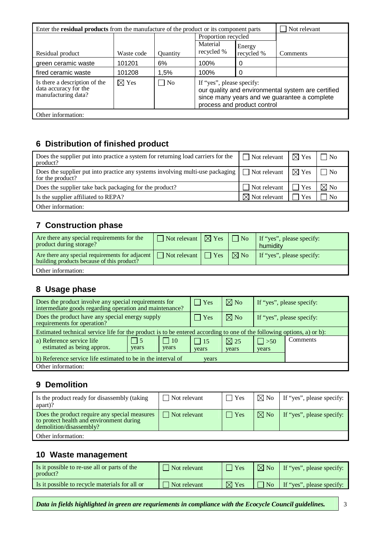| Enter the <b>residual products</b> from the manufacture of the product or its component parts | Not relevant    |           |                                                                                                                                                                |            |          |  |
|-----------------------------------------------------------------------------------------------|-----------------|-----------|----------------------------------------------------------------------------------------------------------------------------------------------------------------|------------|----------|--|
|                                                                                               |                 |           | Proportion recycled                                                                                                                                            |            |          |  |
|                                                                                               |                 |           | Material                                                                                                                                                       | Energy     |          |  |
| Residual product                                                                              | Waste code      | Quantity  | recycled %                                                                                                                                                     | recycled % | Comments |  |
| green ceramic waste                                                                           | 101201          | 6%        | 100%                                                                                                                                                           | 0          |          |  |
| fired ceramic waste                                                                           | 101208          | 1,5%      | 100%                                                                                                                                                           | 0          |          |  |
| Is there a description of the<br>data accuracy for the<br>manufacturing data?                 | $\boxtimes$ Yes | $\Box$ No | If "yes", please specify:<br>our quality and environmental system are certified<br>since many years and we guarantee a complete<br>process and product control |            |          |  |
| Other information:                                                                            |                 |           |                                                                                                                                                                |            |          |  |

## **6 Distribution of finished product**

| Does the supplier put into practice a system for returning load carriers for the<br>product?        | $\Box$ Not relevant $\Box$ Yes |     | $\Box$ No      |
|-----------------------------------------------------------------------------------------------------|--------------------------------|-----|----------------|
| Does the supplier put into practice any systems involving multi-use packaging  <br>for the product? | $\Box$ Not relevant $\Box$ Yes |     | $\overline{N}$ |
| Does the supplier take back packaging for the product?                                              | Not relevant                   | Yes | $\boxtimes$ No |
| Is the supplier affiliated to REPA?                                                                 | $\boxtimes$ Not relevant       | Yes | N <sub>0</sub> |
| Other information:                                                                                  |                                |     |                |

## **7 Construction phase**

| Are there any special requirements for the<br>product during storage?                                                                  | $\Box$ Not relevant $\Box$ Yes $\Box$ No |  | If "yes", please specify:<br>humidity |
|----------------------------------------------------------------------------------------------------------------------------------------|------------------------------------------|--|---------------------------------------|
| Are there any special requirements for adjacent $\Box$ Not relevant $\Box$ Yes $\Box$ No<br>building products because of this product? |                                          |  | If "yes", please specify:             |
| Other information:                                                                                                                     |                                          |  |                                       |

## **8 Usage phase**

| Does the product involve any special requirements for<br>intermediate goods regarding operation and maintenance?       |                     | $\Box$ Yes          | $\boxtimes$ No            | If "yes", please specify: |          |
|------------------------------------------------------------------------------------------------------------------------|---------------------|---------------------|---------------------------|---------------------------|----------|
| Does the product have any special energy supply<br>requirements for operation?                                         | Yes                 | $\boxtimes$ No      | If "yes", please specify: |                           |          |
| Estimated technical service life for the product is to be entered according to one of the following options, a) or b): |                     |                     |                           |                           |          |
| a) Reference service life<br>$\vert$ 5<br>estimated as being approx.<br>years                                          | $\vert$ 10<br>years | $\vert$ 15<br>years | $\boxtimes$ 25<br>years   | $\Box$ > 50<br>years      | Comments |
| b) Reference service life estimated to be in the interval of                                                           |                     |                     |                           |                           |          |
| Other information:                                                                                                     |                     | years               |                           |                           |          |

#### **9 Demolition**

| Is the product ready for disassembly (taking<br>apart)?                                                              | $\Box$ Not relevant | ∣ Yes      | $\boxtimes$ No | If "yes", please specify: |
|----------------------------------------------------------------------------------------------------------------------|---------------------|------------|----------------|---------------------------|
| Does the product require any special measures<br>to protect health and environment during<br>demolition/disassembly? | $\Box$ Not relevant | $\top$ Yes | $\boxtimes$ No | If "yes", please specify: |
| Other information:                                                                                                   |                     |            |                |                           |

#### **10 Waste management**

| Is it possible to re-use all or parts of the<br>product? | Not relevant | 'Yes            |                   | $\sqrt{\triangleright}$ No $\vert$ If "yes", please specify: |
|----------------------------------------------------------|--------------|-----------------|-------------------|--------------------------------------------------------------|
| Is it possible to recycle materials for all or           | Not relevant | $\boxtimes$ Yes | $\blacksquare$ No | If "yes", please specify:                                    |

*Data in fields highlighted in green are requriements in compliance with the Ecocycle Council guidelines.* 3